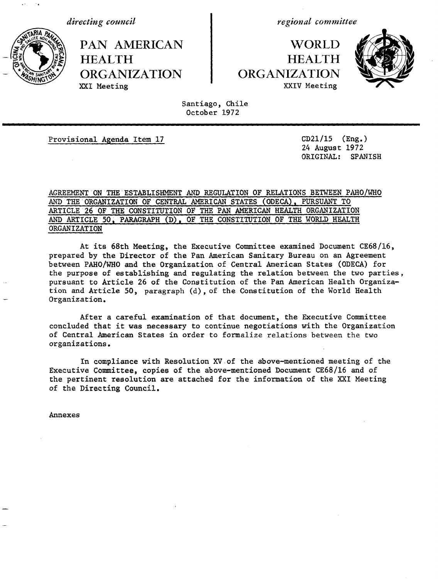*directing council* 

**PAN AMERICAN | WORLD HEALTH HEALTH 4A- ~,sORGANIZATION ORGANIZATION**

*regional committee*

# XXIV Meeting



Santiago, Chile October 1972

Provisional Agenda Item 17 CD21/15 (Eng.)

24 August 1972 ORIGINAL: SPANISH

# AGREEMENT ON THE ESTABLISHMENT AND REGULATION OF RELATIONS BETWEEN PAHO/WHO AND THE ORGANIZATION OF'CENTRAL AMERICAN STATES (ODECA), PURSUANT TO ARTICLE 26 OF THE'CONSTITUTION OF THE PAN AMERICAN HEALTH ORGANIZATION AND ARTICLE 50, PARAGRAPH (D), OF THE CONSTITUTION OF THE WORLD HEALTH ORGANIZATION

At its 68th Meeting, the Executive Committee examined Document CE68/16, prepared by the Director of the Pan American Sanitary Bureau on an Agreement between PAHO/WHO and the Organization of Central American States (ODECA) for the purpose of establishing and regulating the relation between the two parties, pursuant to Article 26 of the Constitution of the Pan American Health Organization and Article 50, paragraph (d), of the Constitution of the World Health Organization.

After a careful examination of that document, the Executive Committee concluded that it was necessary to continue negotiations with the Organization of Central American States in order to formalize relations between the two organizations.

In compliance with Resolution XV of the above-mentioned meeting of the Executive Committee, copies of the above-mentioned Document CE68/16 and of the pertinent resolution are attached for the information of the XXI Meeting of the Directing Council.

Annexes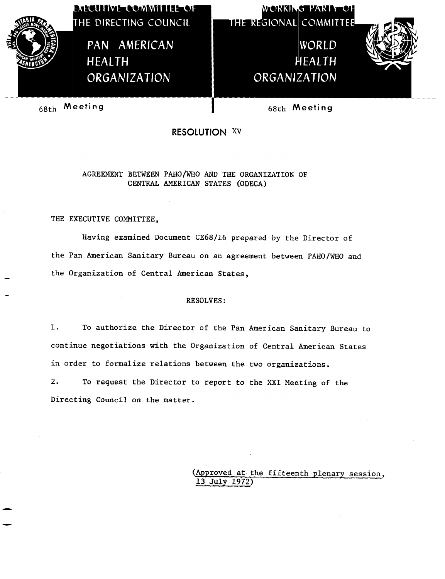

**THE REGIONAL** 

**WORKING PARTICLE** 

WORLD HEALTH ORGANIZATION



68th Meeting **I** 68th Meeting

**RESOLUTION xv**

AGREEMENT BETWEEN PAHO/WHO AND THE ORGANIZATION OF CENTRAL AMERICAN STATES (ODECA)

THE EXECUTIVE COMMITTEE,

Having examined Document CE68/16 prepared by the Director of the Pan American Sanitary Bureau on an agreement between PAHO/WHO and the Organization of Central American States,

# RESOLVES:

1. To authorize the Director of the Pan American Sanitary Bureau to continue negotiations with the Organization of Central American States in order to formalize relations between the two organizations.

2. To request the Director to report to the XXI Meeting of the Directing Council on the matter.

> (Approved at the fifteenth plenary session, 13 July 1972)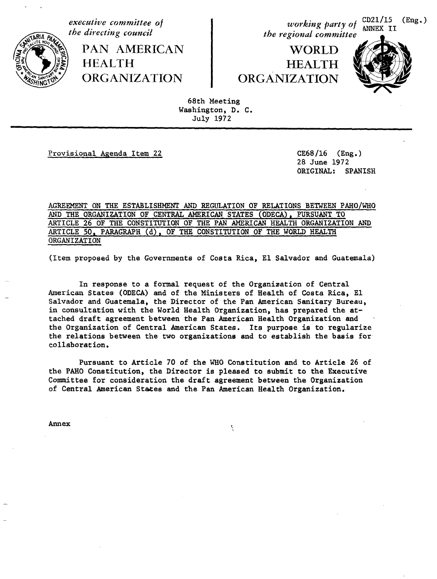*executive committee of the directing council*

> PAN AMERICAN HEALTH ORGANIZATION

*working party of*  $\frac{\text{CD21/15}}{\text{ANNEX}}$  II<br>*the regional committee* 

**WORLD** HEALTH ORGANIZATION



68th Meeting Washington, D. C. July 1972

.~~~ m

Provisional Agenda Item 22 CE68/16 (Eng.)

28 June 1972 ORIGINAL: SPANISH

AGREEMENT ON THE ESTABLISHMENT AND REGULATION OF RELATIONS BETWEEN PAHO/WHO AND THE ORGANIZATION OF CENTRAL AMERICAN STATES (ODECA), PURSUANT TO ARTICLE 26 OF THE CONSTITUTION OF THE PAN AMERICAN HEALTH ORGANIZATION AND ARTICLE 50. PARAGRAPH (d), OF THE CONSTITUTION OF THE WORLD HEALTH **ORGANIZATION** 

(Item proposed by the Governments of Costa Rica, El Salvador and Guatemala)

In response to a formal request of the Organization of Central American States (ODECA) and of the Ministers of Health of Costa Rica, El Salvador and Guatemala, the Director of the Pan American Sanitary Bureau, in consultation with the World Health Organization, has prepared the attached draft agreement between the Pan American Health Organization and the Organization of Central American States. Its purpose is to regularize the relations between the two organizations and to establish the basis for collaboration.

Pursuant to Article 70 of the WHO Constitution and to Article 26 of the PAHO Constitution, the Director is pleased to submit to the Executive Committee for consideration the draft agreement between the Organization of Central American States and the Pan American Health Organization.

Annex

 $\zeta$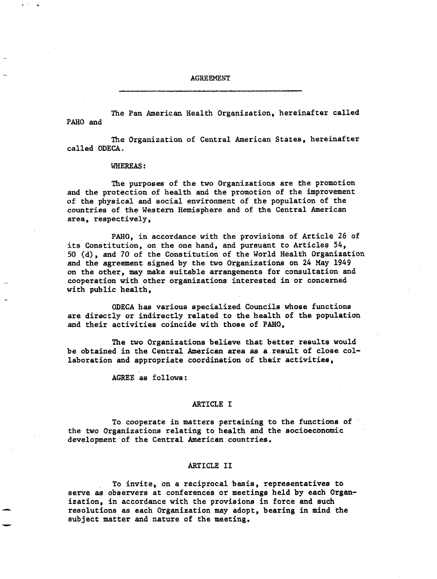AGREEMENT

The Pan American Health Organization, hereinafter called PAHO and

The Organization of Central American States, hereinafter called ODECA.

### WHEREAS:

The purposes of the two Organizations are the promotion and the protection of health and the promotion of the improvement of the physical and social environment of the population of the countries of the Western Hemisphere and of the Central American area, respectively,

PAHO, in accordance with the provisions of Article 26 of its Constitution, on the one hand, and pursuant to Articles 54, 50 (d), and 70 of the Constitution of the World Health Organization and the agreement signed by the two Organizations on 24 May 1949 on the other, may make suitable arrangements for consultation and cooperation with other organizations interested in or concerned with public health,

ODECA has various specialized Councils whose functions are directly or indirectly related to the health of the population and their activities coincide with those of PAHO,

The two Organizations believe that better results would be obtained in the Central American area as a result of close collaboration and appropriate coordination of their activities,

AGREE as follows:

# ARTICLE I

To cooperate in matters pertaining to the functions of the two Organizations relating to health and the socioeconomic development of the Central American countries.

### ARTICLE II

To invite, on a reciprocal basis, representatives to serve as observers at conferences or meetings held by each Organization, in accordance with the provisions in force and such resolutions as each Organization may adopt, bearing in mind the subject matter and nature of the meeting.